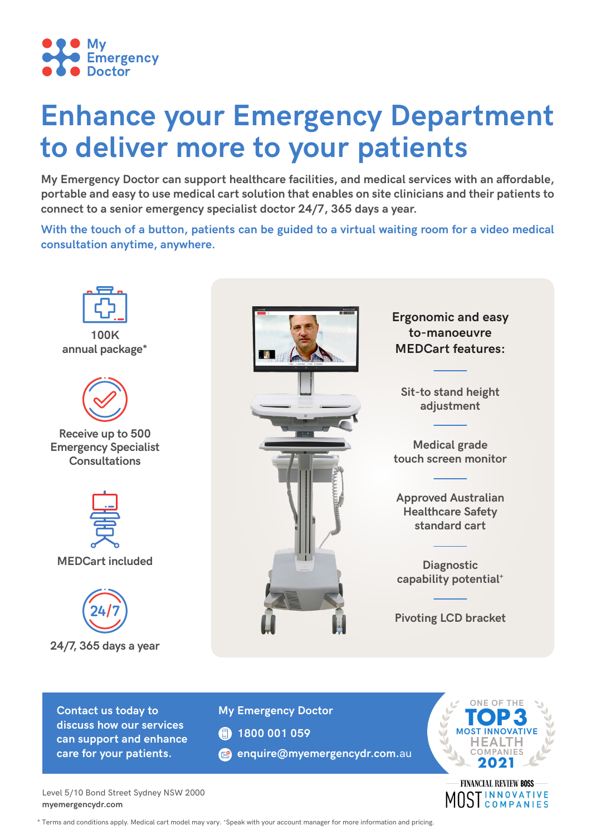

# **Enhance your Emergency Department to deliver more to your patients**

**My Emergency Doctor can support healthcare facilities, and medical services with an affordable, portable and easy to use medical cart solution that enables on site clinicians and their patients to connect to a senior emergency specialist doctor 24/7, 365 days a year.**

**With the touch of a button, patients can be guided to a virtual waiting room for a video medical consultation anytime, anywhere.**



**Contact us today to discuss how our services can support and enhance care for your patients.**

**My Emergency Doctor**

- **1800 001 059**
- **e** enquire@myemergencydr.com.au



**INNOVATIVE** STINNOVATIVE

Level 5/10 Bond Street Sydney NSW 2000 **myemergencydr.com** 

\* Terms and conditions apply. Medical cart model may vary. +Speak with your account manager for more information and pricing.